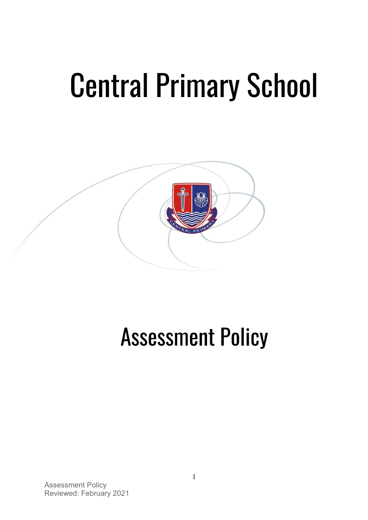# Central Primary School



# Assessment Policy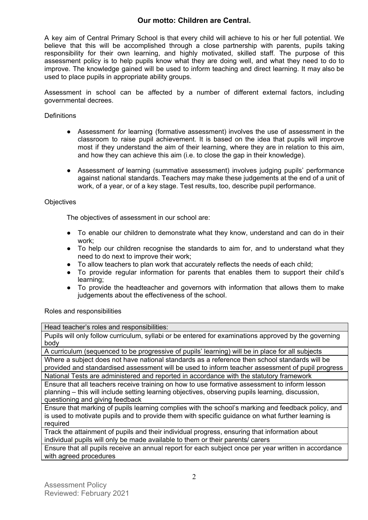## **Our motto: Children are Central.**

A key aim of Central Primary School is that every child will achieve to his or her full potential. We believe that this will be accomplished through a close partnership with parents, pupils taking responsibility for their own learning, and highly motivated, skilled staff. The purpose of this assessment policy is to help pupils know what they are doing well, and what they need to do to improve. The knowledge gained will be used to inform teaching and direct learning. It may also be used to place pupils in appropriate ability groups.

Assessment in school can be affected by a number of different external factors, including governmental decrees.

#### **Definitions**

- Assessment *for* learning (formative assessment) involves the use of assessment in the classroom to raise pupil achievement. It is based on the idea that pupils will improve most if they understand the aim of their learning, where they are in relation to this aim, and how they can achieve this aim (i.e. to close the gap in their knowledge).
- Assessment *of* learning (summative assessment) involves judging pupils' performance against national standards. Teachers may make these judgements at the end of a unit of work, of a year, or of a key stage. Test results, too, describe pupil performance.

#### **Objectives**

The objectives of assessment in our school are:

- To enable our children to demonstrate what they know, understand and can do in their work;
- To help our children recognise the standards to aim for, and to understand what they need to do next to improve their work;
- To allow teachers to plan work that accurately reflects the needs of each child;
- To provide regular information for parents that enables them to support their child's learning;
- To provide the headteacher and governors with information that allows them to make judgements about the effectiveness of the school.

Roles and responsibilities

Head teacher's roles and responsibilities:

Pupils will only follow curriculum, syllabi or be entered for examinations approved by the governing body

A curriculum (sequenced to be progressive of pupils' learning) will be in place for all subjects Where a subject does not have national standards as a reference then school standards will be provided and standardised assessment will be used to inform teacher assessment of pupil progress National Tests are administered and reported in accordance with the statutory framework

Ensure that all teachers receive training on how to use formative assessment to inform lesson planning – this will include setting learning objectives, observing pupils learning, discussion, questioning and giving feedback

Ensure that marking of pupils learning complies with the school's marking and feedback policy, and is used to motivate pupils and to provide them with specific guidance on what further learning is required

Track the attainment of pupils and their individual progress, ensuring that information about individual pupils will only be made available to them or their parents/ carers

Ensure that all pupils receive an annual report for each subject once per year written in accordance with agreed procedures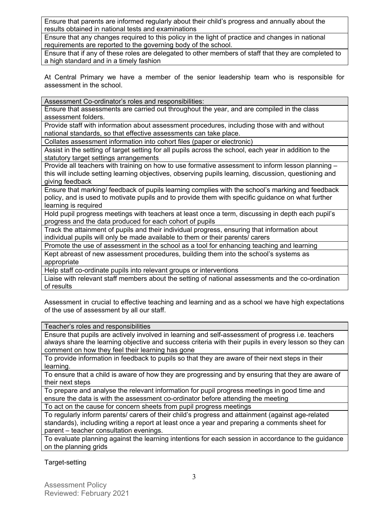Ensure that parents are informed regularly about their child's progress and annually about the results obtained in national tests and examinations

Ensure that any changes required to this policy in the light of practice and changes in national requirements are reported to the governing body of the school.

Ensure that if any of these roles are delegated to other members of staff that they are completed to a high standard and in a timely fashion

At Central Primary we have a member of the senior leadership team who is responsible for assessment in the school.

Assessment Co-ordinator's roles and responsibilities:

Ensure that assessments are carried out throughout the year, and are compiled in the class assessment folders.

Provide staff with information about assessment procedures, including those with and without national standards, so that effective assessments can take place.

Collates assessment information into cohort files (paper or electronic)

Assist in the setting of target setting for all pupils across the school, each year in addition to the statutory target settings arrangements

Provide all teachers with training on how to use formative assessment to inform lesson planning this will include setting learning objectives, observing pupils learning, discussion, questioning and giving feedback

Ensure that marking/ feedback of pupils learning complies with the school's marking and feedback policy, and is used to motivate pupils and to provide them with specific guidance on what further learning is required

Hold pupil progress meetings with teachers at least once a term, discussing in depth each pupil's progress and the data produced for each cohort of pupils

Track the attainment of pupils and their individual progress, ensuring that information about individual pupils will only be made available to them or their parents/ carers

Promote the use of assessment in the school as a tool for enhancing teaching and learning

Kept abreast of new assessment procedures, building them into the school's systems as appropriate

Help staff co-ordinate pupils into relevant groups or interventions

Liaise with relevant staff members about the setting of national assessments and the co-ordination of results

Assessment in crucial to effective teaching and learning and as a school we have high expectations of the use of assessment by all our staff.

Teacher's roles and responsibilities

Ensure that pupils are actively involved in learning and self-assessment of progress i.e. teachers always share the learning objective and success criteria with their pupils in every lesson so they can comment on how they feel their learning has gone

To provide information in feedback to pupils so that they are aware of their next steps in their learning.

To ensure that a child is aware of how they are progressing and by ensuring that they are aware of their next steps

To prepare and analyse the relevant information for pupil progress meetings in good time and ensure the data is with the assessment co-ordinator before attending the meeting

To act on the cause for concern sheets from pupil progress meetings

To regularly inform parents/ carers of their child's progress and attainment (against age-related standards), including writing a report at least once a year and preparing a comments sheet for parent – teacher consultation evenings.

To evaluate planning against the learning intentions for each session in accordance to the guidance on the planning grids

Target-setting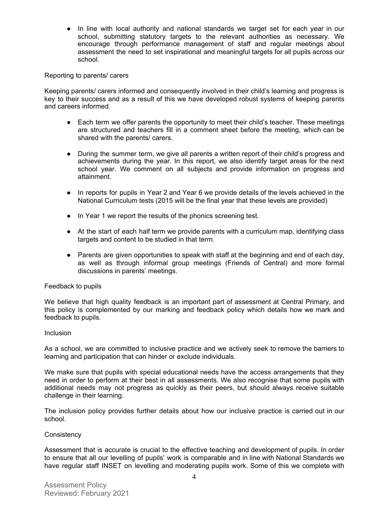• In line with local authority and national standards we target set for each year in our school, submitting statutory targets to the relevant authorities as necessary. We encourage through performance management of staff and regular meetings about assessment the need to set inspirational and meaningful targets for all pupils across our school.

#### Reporting to parents/ carers

Keeping parents/ carers informed and consequently involved in their child's learning and progress is key to their success and as a result of this we have developed robust systems of keeping parents and careers informed.

- Each term we offer parents the opportunity to meet their child's teacher. These meetings are structured and teachers fill in a comment sheet before the meeting, which can be shared with the parents/ carers.
- During the summer term, we give all parents a written report of their child's progress and achievements during the year. In this report, we also identify target areas for the next school year. We comment on all subjects and provide information on progress and attainment.
- In reports for pupils in Year 2 and Year 6 we provide details of the levels achieved in the National Curriculum tests (2015 will be the final year that these levels are provided)
- In Year 1 we report the results of the phonics screening test.
- At the start of each half term we provide parents with a curriculum map, identifying class targets and content to be studied in that term.
- Parents are given opportunities to speak with staff at the beginning and end of each day, as well as through informal group meetings (Friends of Central) and more formal discussions in parents' meetings.

#### Feedback to pupils

We believe that high quality feedback is an important part of assessment at Central Primary, and this policy is complemented by our marking and feedback policy which details how we mark and feedback to pupils.

#### **Inclusion**

As a school, we are committed to inclusive practice and we actively seek to remove the barriers to learning and participation that can hinder or exclude individuals.

We make sure that pupils with special educational needs have the access arrangements that they need in order to perform at their best in all assessments. We also recognise that some pupils with additional needs may not progress as quickly as their peers, but should always receive suitable challenge in their learning.

The inclusion policy provides further details about how our inclusive practice is carried out in our school.

#### **Consistency**

Assessment that is accurate is crucial to the effective teaching and development of pupils. In order to ensure that all our levelling of pupils' work is comparable and in line with National Standards we have regular staff INSET on levelling and moderating pupils work. Some of this we complete with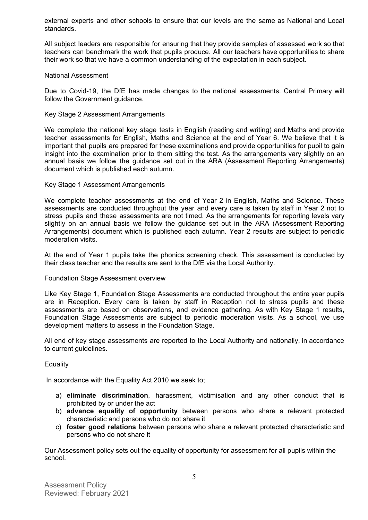external experts and other schools to ensure that our levels are the same as National and Local standards.

All subject leaders are responsible for ensuring that they provide samples of assessed work so that teachers can benchmark the work that pupils produce. All our teachers have opportunities to share their work so that we have a common understanding of the expectation in each subject.

#### National Assessment

Due to Covid-19, the DfE has made changes to the national assessments. Central Primary will follow the Government guidance.

#### Key Stage 2 Assessment Arrangements

We complete the national key stage tests in English (reading and writing) and Maths and provide teacher assessments for English, Maths and Science at the end of Year 6. We believe that it is important that pupils are prepared for these examinations and provide opportunities for pupil to gain insight into the examination prior to them sitting the test. As the arrangements vary slightly on an annual basis we follow the guidance set out in the ARA (Assessment Reporting Arrangements) document which is published each autumn.

#### Key Stage 1 Assessment Arrangements

We complete teacher assessments at the end of Year 2 in English, Maths and Science. These assessments are conducted throughout the year and every care is taken by staff in Year 2 not to stress pupils and these assessments are not timed. As the arrangements for reporting levels vary slightly on an annual basis we follow the guidance set out in the ARA (Assessment Reporting Arrangements) document which is published each autumn. Year 2 results are subject to periodic moderation visits.

At the end of Year 1 pupils take the phonics screening check. This assessment is conducted by their class teacher and the results are sent to the DfE via the Local Authority.

#### Foundation Stage Assessment overview

Like Key Stage 1, Foundation Stage Assessments are conducted throughout the entire year pupils are in Reception. Every care is taken by staff in Reception not to stress pupils and these assessments are based on observations, and evidence gathering. As with Key Stage 1 results, Foundation Stage Assessments are subject to periodic moderation visits. As a school, we use development matters to assess in the Foundation Stage.

All end of key stage assessments are reported to the Local Authority and nationally, in accordance to current guidelines.

#### **Equality**

In accordance with the Equality Act 2010 we seek to;

- a) **eliminate discrimination**, harassment, victimisation and any other conduct that is prohibited by or under the act
- b) **advance equality of opportunity** between persons who share a relevant protected characteristic and persons who do not share it
- c) **foster good relations** between persons who share a relevant protected characteristic and persons who do not share it

Our Assessment policy sets out the equality of opportunity for assessment for all pupils within the school.